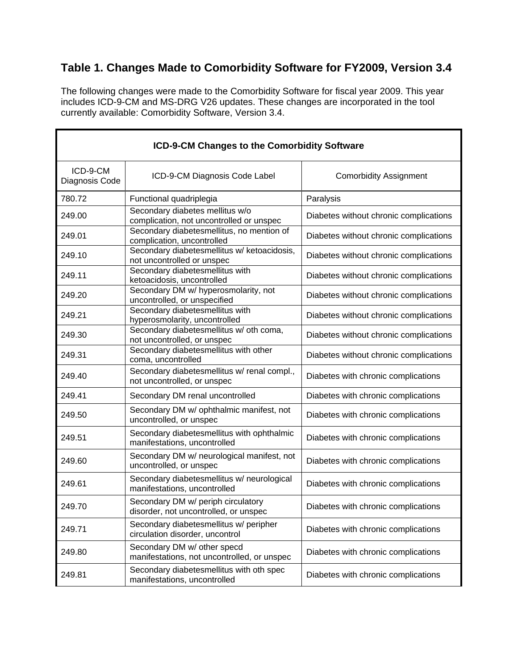## **Table 1. Changes Made to Comorbidity Software for FY2009, Version 3.4**

The following changes were made to the Comorbidity Software for fiscal year 2009. This year includes ICD-9-CM and MS-DRG V26 updates. These changes are incorporated in the tool currently available: Comorbidity Software, Version 3.4.

| ICD-9-CM Changes to the Comorbidity Software |                                                                             |                                        |  |  |
|----------------------------------------------|-----------------------------------------------------------------------------|----------------------------------------|--|--|
| ICD-9-CM<br>Diagnosis Code                   | ICD-9-CM Diagnosis Code Label                                               | <b>Comorbidity Assignment</b>          |  |  |
| 780.72                                       | Functional quadriplegia                                                     | Paralysis                              |  |  |
| 249.00                                       | Secondary diabetes mellitus w/o<br>complication, not uncontrolled or unspec | Diabetes without chronic complications |  |  |
| 249.01                                       | Secondary diabetesmellitus, no mention of<br>complication, uncontrolled     | Diabetes without chronic complications |  |  |
| 249.10                                       | Secondary diabetesmellitus w/ ketoacidosis,<br>not uncontrolled or unspec   | Diabetes without chronic complications |  |  |
| 249.11                                       | Secondary diabetesmellitus with<br>ketoacidosis, uncontrolled               | Diabetes without chronic complications |  |  |
| 249.20                                       | Secondary DM w/ hyperosmolarity, not<br>uncontrolled, or unspecified        | Diabetes without chronic complications |  |  |
| 249.21                                       | Secondary diabetesmellitus with<br>hyperosmolarity, uncontrolled            | Diabetes without chronic complications |  |  |
| 249.30                                       | Secondary diabetesmellitus w/ oth coma,<br>not uncontrolled, or unspec      | Diabetes without chronic complications |  |  |
| 249.31                                       | Secondary diabetesmellitus with other<br>coma, uncontrolled                 | Diabetes without chronic complications |  |  |
| 249.40                                       | Secondary diabetesmellitus w/ renal compl.,<br>not uncontrolled, or unspec  | Diabetes with chronic complications    |  |  |
| 249.41                                       | Secondary DM renal uncontrolled                                             | Diabetes with chronic complications    |  |  |
| 249.50                                       | Secondary DM w/ ophthalmic manifest, not<br>uncontrolled, or unspec         | Diabetes with chronic complications    |  |  |
| 249.51                                       | Secondary diabetesmellitus with ophthalmic<br>manifestations, uncontrolled  | Diabetes with chronic complications    |  |  |
| 249.60                                       | Secondary DM w/ neurological manifest, not<br>uncontrolled, or unspec       | Diabetes with chronic complications    |  |  |
| 249.61                                       | Secondary diabetesmellitus w/ neurological<br>manifestations, uncontrolled  | Diabetes with chronic complications    |  |  |
| 249.70                                       | Secondary DM w/ periph circulatory<br>disorder, not uncontrolled, or unspec | Diabetes with chronic complications    |  |  |
| 249.71                                       | Secondary diabetesmellitus w/ peripher<br>circulation disorder, uncontrol   | Diabetes with chronic complications    |  |  |
| 249.80                                       | Secondary DM w/ other specd<br>manifestations, not uncontrolled, or unspec  | Diabetes with chronic complications    |  |  |
| 249.81                                       | Secondary diabetesmellitus with oth spec<br>manifestations, uncontrolled    | Diabetes with chronic complications    |  |  |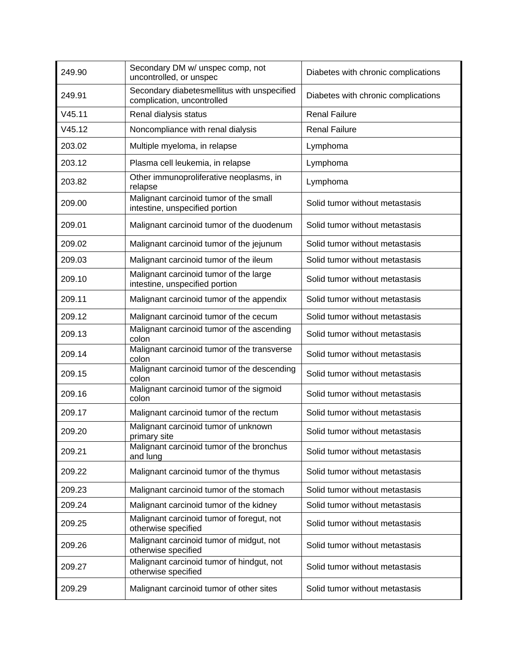| 249.90 | Secondary DM w/ unspec comp, not<br>uncontrolled, or unspec               | Diabetes with chronic complications |
|--------|---------------------------------------------------------------------------|-------------------------------------|
| 249.91 | Secondary diabetesmellitus with unspecified<br>complication, uncontrolled | Diabetes with chronic complications |
| V45.11 | Renal dialysis status                                                     | <b>Renal Failure</b>                |
| V45.12 | Noncompliance with renal dialysis                                         | <b>Renal Failure</b>                |
| 203.02 | Multiple myeloma, in relapse                                              | Lymphoma                            |
| 203.12 | Plasma cell leukemia, in relapse                                          | Lymphoma                            |
| 203.82 | Other immunoproliferative neoplasms, in<br>relapse                        | Lymphoma                            |
| 209.00 | Malignant carcinoid tumor of the small<br>intestine, unspecified portion  | Solid tumor without metastasis      |
| 209.01 | Malignant carcinoid tumor of the duodenum                                 | Solid tumor without metastasis      |
| 209.02 | Malignant carcinoid tumor of the jejunum                                  | Solid tumor without metastasis      |
| 209.03 | Malignant carcinoid tumor of the ileum                                    | Solid tumor without metastasis      |
| 209.10 | Malignant carcinoid tumor of the large<br>intestine, unspecified portion  | Solid tumor without metastasis      |
| 209.11 | Malignant carcinoid tumor of the appendix                                 | Solid tumor without metastasis      |
| 209.12 | Malignant carcinoid tumor of the cecum                                    | Solid tumor without metastasis      |
| 209.13 | Malignant carcinoid tumor of the ascending<br>colon                       | Solid tumor without metastasis      |
| 209.14 | Malignant carcinoid tumor of the transverse<br>colon                      | Solid tumor without metastasis      |
| 209.15 | Malignant carcinoid tumor of the descending<br>colon                      | Solid tumor without metastasis      |
| 209.16 | Malignant carcinoid tumor of the sigmoid<br>colon                         | Solid tumor without metastasis      |
| 209.17 | Malignant carcinoid tumor of the rectum                                   | Solid tumor without metastasis      |
| 209.20 | Malignant carcinoid tumor of unknown<br>primary site                      | Solid tumor without metastasis      |
| 209.21 | Malignant carcinoid tumor of the bronchus<br>and lung                     | Solid tumor without metastasis      |
| 209.22 | Malignant carcinoid tumor of the thymus                                   | Solid tumor without metastasis      |
| 209.23 | Malignant carcinoid tumor of the stomach                                  | Solid tumor without metastasis      |
| 209.24 | Malignant carcinoid tumor of the kidney                                   | Solid tumor without metastasis      |
| 209.25 | Malignant carcinoid tumor of foregut, not<br>otherwise specified          | Solid tumor without metastasis      |
| 209.26 | Malignant carcinoid tumor of midgut, not<br>otherwise specified           | Solid tumor without metastasis      |
| 209.27 | Malignant carcinoid tumor of hindgut, not<br>otherwise specified          | Solid tumor without metastasis      |
| 209.29 | Malignant carcinoid tumor of other sites                                  | Solid tumor without metastasis      |